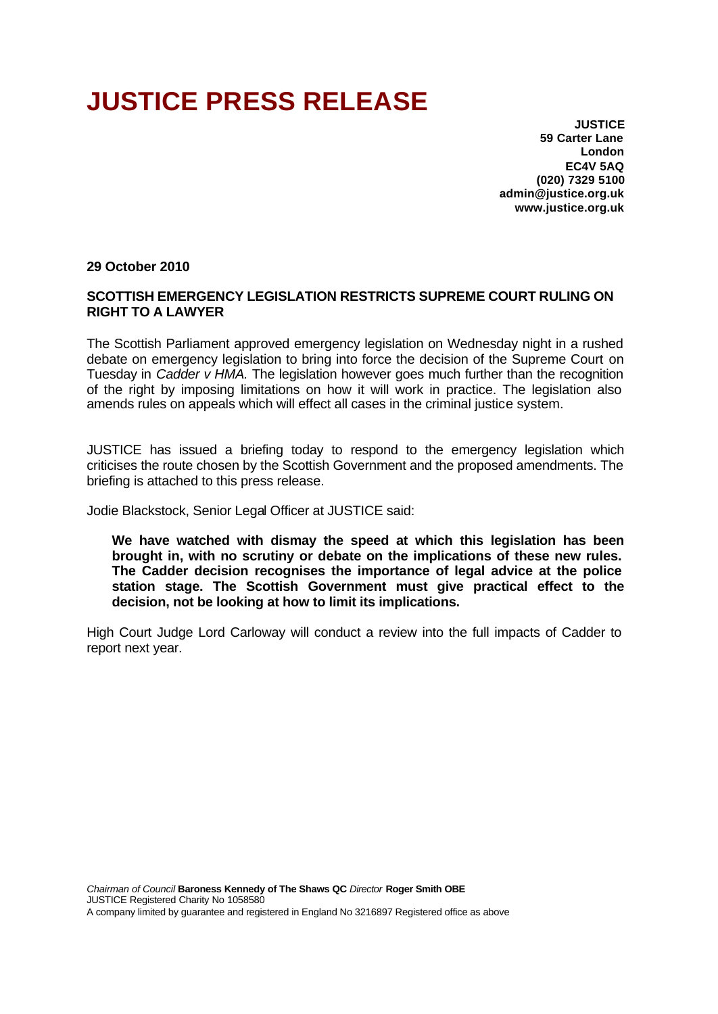## **JUSTICE PRESS RELEASE**

**JUSTICE 59 Carter Lane London EC4V 5AQ (020) 7329 5100 admin@justice.org.uk www.justice.org.uk**

## **29 October 2010**

## **SCOTTISH EMERGENCY LEGISLATION RESTRICTS SUPREME COURT RULING ON RIGHT TO A LAWYER**

The Scottish Parliament approved emergency legislation on Wednesday night in a rushed debate on emergency legislation to bring into force the decision of the Supreme Court on Tuesday in *Cadder v HMA.* The legislation however goes much further than the recognition of the right by imposing limitations on how it will work in practice. The legislation also amends rules on appeals which will effect all cases in the criminal justice system.

JUSTICE has issued a briefing today to respond to the emergency legislation which criticises the route chosen by the Scottish Government and the proposed amendments. The briefing is attached to this press release.

Jodie Blackstock, Senior Legal Officer at JUSTICE said:

**We have watched with dismay the speed at which this legislation has been brought in, with no scrutiny or debate on the implications of these new rules. The Cadder decision recognises the importance of legal advice at the police station stage. The Scottish Government must give practical effect to the decision, not be looking at how to limit its implications.**

High Court Judge Lord Carloway will conduct a review into the full impacts of Cadder to report next year.